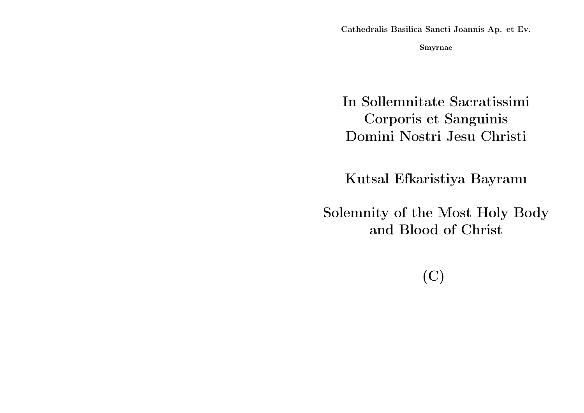Cathedralis Basilica Sancti Joannis Ap. et Ev.

Smyrnae

In Sollemnitate Sacratissimi Corporis et Sanguinis Domini Nostri Jesu Christi

Kutsal Efkaristiya Bayramı

Solemnity of the Most Holy Body and Blood of Christ

(C)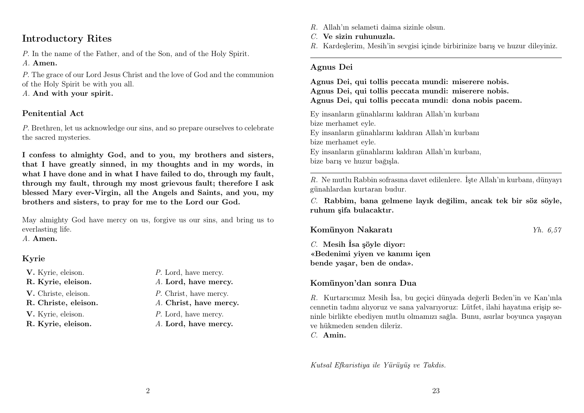# Introductory Rites

P. In the name of the Father, and of the Son, and of the Holy Spirit. A. Amen.

P. The grace of our Lord Jesus Christ and the love of God and the communion of the Holy Spirit be with you all.

A. And with your spirit.

## Penitential Act

P. Brethren, let us acknowledge our sins, and so prepare ourselves to celebrate the sacred mysteries.

I confess to almighty God, and to you, my brothers and sisters, that I have greatly sinned, in my thoughts and in my words, in what I have done and in what I have failed to do, through my fault, through my fault, through my most grievous fault; therefore I ask blessed Mary ever-Virgin, all the Angels and Saints, and you, my brothers and sisters, to pray for me to the Lord our God.

May almighty God have mercy on us, forgive us our sins, and bring us to everlasting life.

A. Amen.

# Kyrie

- 
- 
- 
- 
- 
- V. Kyrie, eleison.  $P.$  Lord, have mercy.
- R. Kyrie, eleison. A. Lord, have mercy.
- V. Christe, eleison. P. Christ, have mercy.
- R. Christe, eleison. A. Christ, have mercy.
- **V.** Kyrie, eleison.  $P$ . Lord, have mercy.
- R. Kyrie, eleison. A. Lord, have mercy.
- R. Allah'ın selameti daima sizinle olsun.
- C. Ve sizin ruhunuzla.
- R. Kardeşlerim, Mesih'in sevgisi içinde birbirinize barış ve huzur dileyiniz.

## Agnus Dei

Agnus Dei, qui tollis peccata mundi: miserere nobis. Agnus Dei, qui tollis peccata mundi: miserere nobis. Agnus Dei, qui tollis peccata mundi: dona nobis pacem.

Ey insanların günahlarını kaldıran Allah'ın kurbanı bize merhamet eyle. Ey insanların günahlarını kaldıran Allah'ın kurbanı bize merhamet eyle. Ey insanların günahlarını kaldıran Allah'ın kurbanı, bize barış ve huzur bağışla.

R. Ne mutlu Rabbin sofrasına davet edilenlere. İşte Allah'ın kurbanı, dünyayı günahlardan kurtaran budur.

 $C.$  Rabbim, bana gelmene layık değilim, ancak tek bir söz söyle, ruhum şifa bulacaktır.

Komünyon Nakaratı Yh. 6,57

 $C.$  Mesih İsa söyle diyor: «Bedenimi yiyen ve kanımı içen bende yaşar, ben de onda».

# Komünyon'dan sonra Dua

R. Kurtarıcımız Mesih İsa, bu geçici dünyada değerli Beden'in ve Kan'ınla cennetin tadını alıyoruz ve sana yalvarıyoruz: Lütfet, ilahi hayatına erişip seninle birlikte ebediyen mutlu olmamızı sağla. Bunu, asırlar boyunca yaşayan ve hükmeden senden dileriz.

C. Amin.

Kutsal Efkaristiya ile Yürüyüş ve Takdis.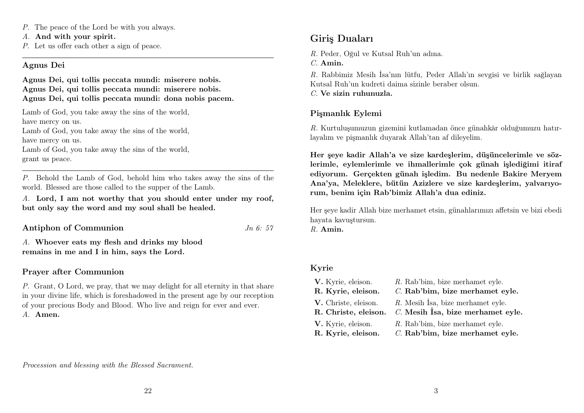- P. The peace of the Lord be with you always.
- A. And with your spirit.
- P. Let us offer each other a sign of peace.

### Agnus Dei

Agnus Dei, qui tollis peccata mundi: miserere nobis. Agnus Dei, qui tollis peccata mundi: miserere nobis. Agnus Dei, qui tollis peccata mundi: dona nobis pacem.

Lamb of God, you take away the sins of the world. have mercy on us. Lamb of God, you take away the sins of the world, have mercy on us. Lamb of God, you take away the sins of the world,

grant us peace.

P. Behold the Lamb of God, behold him who takes away the sins of the world. Blessed are those called to the supper of the Lamb.

A. Lord, I am not worthy that you should enter under my roof, but only say the word and my soul shall be healed.

| Antiphon of Communion | $Jn\;6:$ 57 |  |
|-----------------------|-------------|--|
|                       |             |  |

A. Whoever eats my flesh and drinks my blood remains in me and I in him, says the Lord.

## Prayer after Communion

P. Grant, O Lord, we pray, that we may delight for all eternity in that share in your divine life, which is foreshadowed in the present age by our reception of your precious Body and Blood. Who live and reign for ever and ever. A. Amen.

# Giriş Duaları

R. Peder, Oğul ve Kutsal Ruh'un adına.

C. Amin.

R. Rabbimiz Mesih İsa'nın lütfu, Peder Allah'ın sevgisi ve birlik sağlayan Kutsal Ruh'un kudreti daima sizinle beraber olsun.

C. Ve sizin ruhunuzla.

# Pişmanlık Eylemi

R. Kurtuluşumuzun gizemini kutlamadan önce günahkâr olduğumuzu hatırlayalım ve pişmanlık duyarak Allah'tan af dileyelim.

Her şeye kadir Allah'a ve size kardeşlerim, düşüncelerimle ve sözlerimle, eylemlerimle ve ihmallerimle çok günah işlediğimi itiraf ediyorum. Gerçekten günah işledim. Bu nedenle Bakire Meryem Ana'ya, Meleklere, bütün Azizlere ve size kardeşlerim, yalvarıyorum, benim için Rab'bimiz Allah'a dua ediniz.

Her şeye kadir Allah bize merhamet etsin, günahlarımızı affetsin ve bizi ebedi hayata kavuştursun.

R. Amin.

# Kyrie

| V. Kyrie, eleison.                           | R. Rab'bim, bize merhamet eyle.                                        |
|----------------------------------------------|------------------------------------------------------------------------|
| R. Kyrie, eleison.                           | C. Rab'bim, bize merhamet eyle.                                        |
| V. Christe, eleison.<br>R. Christe, eleison. | R. Mesih Isa, bize merhamet eyle.<br>C. Mesih İsa, bize merhamet eyle. |
| V. Kyrie, eleison.                           | R. Rab'bim, bize merhamet eyle.                                        |
| R. Kyrie, eleison.                           | C. Rab'bim, bize merhamet eyle.                                        |

Procession and blessing with the Blessed Sacrament.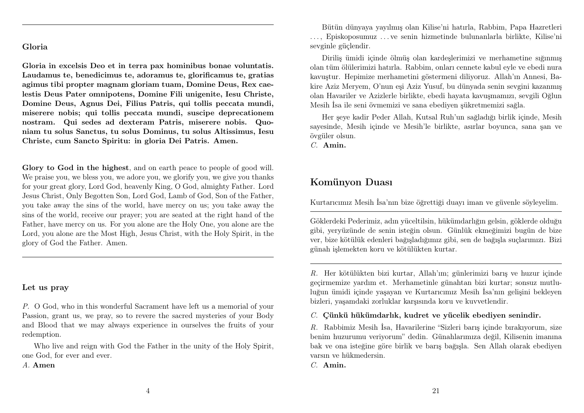# Gloria

Gloria in excelsis Deo et in terra pax hominibus bonae voluntatis. Laudamus te, benedicimus te, adoramus te, glorificamus te, gratias agimus tibi propter magnam gloriam tuam, Domine Deus, Rex caelestis Deus Pater omnipotens, Domine Fili unigenite, Iesu Christe, Domine Deus, Agnus Dei, Filius Patris, qui tollis peccata mundi, miserere nobis; qui tollis peccata mundi, suscipe deprecationem nostram. Qui sedes ad dexteram Patris, miserere nobis. Quoniam tu solus Sanctus, tu solus Dominus, tu solus Altissimus, Iesu Christe, cum Sancto Spiritu: in gloria Dei Patris. Amen.

Glory to God in the highest, and on earth peace to people of good will. We praise you, we bless you, we adore you, we glorify you, we give you thanks for your great glory, Lord God, heavenly King, O God, almighty Father. Lord Jesus Christ, Only Begotten Son, Lord God, Lamb of God, Son of the Father, you take away the sins of the world, have mercy on us; you take away the sins of the world, receive our prayer; you are seated at the right hand of the Father, have mercy on us. For you alone are the Holy One, you alone are the Lord, you alone are the Most High, Jesus Christ, with the Holy Spirit, in the glory of God the Father. Amen.

### Let us pray

P. O God, who in this wonderful Sacrament have left us a memorial of your Passion, grant us, we pray, so to revere the sacred mysteries of your Body and Blood that we may always experience in ourselves the fruits of your redemption.

Who live and reign with God the Father in the unity of the Holy Spirit, one God, for ever and ever.

A. Amen

Bütün dünyaya yayılmış olan Kilise'ni hatırla, Rabbim, Papa Hazretleri . . . , Episkoposumuz . . . ve senin hizmetinde bulunanlarla birlikte, Kilise'ni sevginle güçlendir.

Diriliş ümidi içinde ölmüş olan kardeşlerimizi ve merhametine sığınmış olan tüm ölülerimizi hatırla. Rabbim, onları cennete kabul eyle ve ebedi nura kavuştur. Hepimize merhametini göstermeni diliyoruz. Allah'ın Annesi, Bakire Aziz Meryem, O'nun eşi Aziz Yusuf, bu dünyada senin sevgini kazanmış olan Havariler ve Azizlerle birlikte, ebedi hayata kavuşmamızı, sevgili Oğlun Mesih İsa ile seni övmemizi ve sana ebediyen şükretmemizi sağla.

Her şeye kadir Peder Allah, Kutsal Ruh'un sağladığı birlik içinde, Mesih sayesinde, Mesih içinde ve Mesih'le birlikte, asırlar boyunca, sana şan ve övgüler olsun.

C. Amin.

# Komünyon Duası

Kurtarıcımız Mesih İsa'nın bize öğrettiği duayı iman ve güvenle söyleyelim.

Göklerdeki Pederimiz, adın yüceltilsin, hükümdarlığın gelsin, göklerde olduğu gibi, yeryüzünde de senin isteğin olsun. Günlük ekmeğimizi bugün de bize ver, bize kötülük edenleri bağışladığımız gibi, sen de bağışla suçlarımızı. Bizi günah işlemekten koru ve kötülükten kurtar.

R. Her kötülükten bizi kurtar, Allah'ım; günlerimizi barış ve huzur içinde geçirmemize yardım et. Merhametinle günahtan bizi kurtar; sonsuz mutluluğun ümidi içinde yaşayan ve Kurtarıcımız Mesih İsa'nın gelişini bekleyen bizleri, yaşamdaki zorluklar karşısında koru ve kuvvetlendir.

 $C.$  Cünkü hükümdarlık, kudret ve vücelik ebediyen senindir.

R. Rabbimiz Mesih İsa, Havarilerine "Sizleri barış içinde bırakıyorum, size benim huzurumu veriyorum" dedin. Günahlarımıza değil, Kilisenin imanına bak ve ona isteğine göre birlik ve barış bağışla. Sen Allah olarak ebediyen varsın ve hükmedersin.

C. Amin.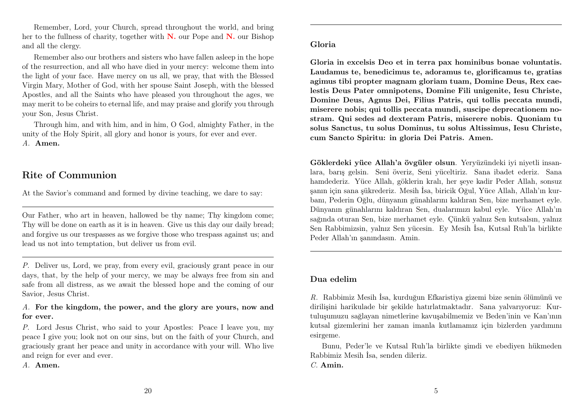Remember, Lord, your Church, spread throughout the world, and bring her to the fullness of charity, together with N. our Pope and N. our Bishop and all the clergy.

Remember also our brothers and sisters who have fallen asleep in the hope of the resurrection, and all who have died in your mercy: welcome them into the light of your face. Have mercy on us all, we pray, that with the Blessed Virgin Mary, Mother of God, with her spouse Saint Joseph, with the blessed Apostles, and all the Saints who have pleased you throughout the ages, we may merit to be coheirs to eternal life, and may praise and glorify you through your Son, Jesus Christ.

Through him, and with him, and in him, O God, almighty Father, in the unity of the Holy Spirit, all glory and honor is yours, for ever and ever. A. Amen.

# Rite of Communion

At the Savior's command and formed by divine teaching, we dare to say:

Our Father, who art in heaven, hallowed be thy name; Thy kingdom come; Thy will be done on earth as it is in heaven. Give us this day our daily bread; and forgive us our trespasses as we forgive those who trespass against us; and lead us not into temptation, but deliver us from evil.

P. Deliver us, Lord, we pray, from every evil, graciously grant peace in our days, that, by the help of your mercy, we may be always free from sin and safe from all distress, as we await the blessed hope and the coming of our Savior, Jesus Christ.

### A. For the kingdom, the power, and the glory are yours, now and for ever.

P. Lord Jesus Christ, who said to your Apostles: Peace I leave you, my peace I give you; look not on our sins, but on the faith of your Church, and graciously grant her peace and unity in accordance with your will. Who live and reign for ever and ever.

A. Amen.

#### Gloria

Gloria in excelsis Deo et in terra pax hominibus bonae voluntatis. Laudamus te, benedicimus te, adoramus te, glorificamus te, gratias agimus tibi propter magnam gloriam tuam, Domine Deus, Rex caelestis Deus Pater omnipotens, Domine Fili unigenite, Iesu Christe, Domine Deus, Agnus Dei, Filius Patris, qui tollis peccata mundi, miserere nobis; qui tollis peccata mundi, suscipe deprecationem nostram. Qui sedes ad dexteram Patris, miserere nobis. Quoniam tu solus Sanctus, tu solus Dominus, tu solus Altissimus, Iesu Christe, cum Sancto Spiritu: in gloria Dei Patris. Amen.

Göklerdeki yüce Allah'a övgüler olsun. Yeryüzündeki iyi niyetli insanlara, barış gelsin. Seni överiz, Seni yüceltiriz. Sana ibadet ederiz. Sana hamdederiz. Yüce Allah, göklerin kralı, her şeye kadir Peder Allah, sonsuz şanın için sana şükrederiz. Mesih İsa, biricik Oğul, Yüce Allah, Allah'ın kurbanı, Pederin Oğlu, dünyanın günahlarını kaldıran Sen, bize merhamet eyle. Dünyanın günahlarını kaldıran Sen, dualarımızı kabul eyle. Yüce Allah'ın sağında oturan Sen, bize merhamet eyle. Çünkü yalnız Sen kutsalsın, yalnız Sen Rabbimizsin, yalnız Sen yücesin. Ey Mesih İsa, Kutsal Ruh'la birlikte Peder Allah'ın şanındasın. Amin.

## Dua edelim

R. Rabbimiz Mesih İsa, kurduğun Efkaristiya gizemi bize senin ölümünü ve dirilişini harikulade bir şekilde hatırlatmaktadır. Sana yalvarıyoruz: Kurtuluşumuzu sağlayan nimetlerine kavuşabilmemiz ve Beden'inin ve Kan'ının kutsal gizemlerini her zaman imanla kutlamamız için bizlerden yardımını esirgeme.

Bunu, Peder'le ve Kutsal Ruh'la birlikte şimdi ve ebediyen hükmeden Rabbimiz Mesih İsa, senden dileriz. C. Amin.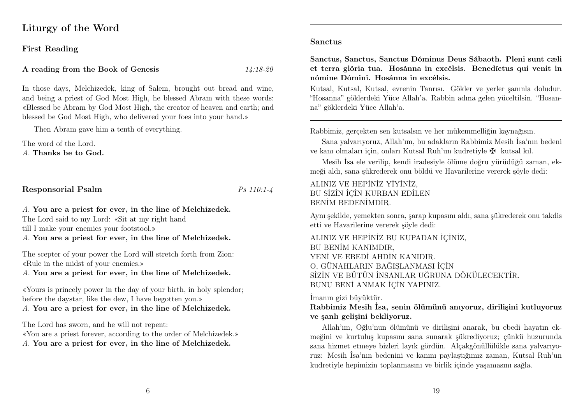# Liturgy of the Word

#### First Reading

#### A reading from the Book of Genesis  $14:18-20$

In those days, Melchizedek, king of Salem, brought out bread and wine, and being a priest of God Most High, he blessed Abram with these words: «Blessed be Abram by God Most High, the creator of heaven and earth; and blessed be God Most High, who delivered your foes into your hand.»

Then Abram gave him a tenth of everything.

The word of the Lord. A. Thanks be to God.

Responsorial Psalm Ps 110:1-4

#### A. You are a priest for ever, in the line of Melchizedek. The Lord said to my Lord: «Sit at my right hand

till I make your enemies your footstool.»

A. You are a priest for ever, in the line of Melchizedek.

The scepter of your power the Lord will stretch forth from Zion: «Rule in the midst of your enemies.»

A. You are a priest for ever, in the line of Melchizedek.

«Yours is princely power in the day of your birth, in holy splendor; before the daystar, like the dew, I have begotten you.» A. You are a priest for ever, in the line of Melchizedek.

The Lord has sworn, and he will not repent: «You are a priest forever, according to the order of Melchizedek.» A. You are a priest for ever, in the line of Melchizedek.

#### Sanctus

Sanctus, Sanctus, Sanctus Dóminus Deus Sábaoth. Pleni sunt cæli et terra glória tua. Hosánna in excélsis. Benedíctus qui venit in nómine Dómini. Hosánna in excélsis.

Kutsal, Kutsal, Kutsal, evrenin Tanrısı. Gökler ve yerler şanınla doludur. "Hosanna" göklerdeki Yüce Allah'a. Rabbin adına gelen yüceltilsin. "Hosanna" göklerdeki Yüce Allah'a.

Rabbimiz, gerçekten sen kutsalsın ve her mükemmelliğin kaynağısın.

Sana yalvarıyoruz, Allah'ım, bu adakların Rabbimiz Mesih İsa'nın bedeni ve kanı olmaları için, onları Kutsal Ruh'un kudretiyle $\maltese$ kutsal kıl.

Mesih İsa ele verilip, kendi iradesiyle ölüme doğru yürüdüğü zaman, ekmeği aldı, sana şükrederek onu böldü ve Havarilerine vererek şöyle dedi:

## ALINIZ VE HEPİNİZ YİYİNİZ, BU SİZİN İÇİN KURBAN EDİLEN BENİM BEDENİMDİR.

Aynı şekilde, yemekten sonra, şarap kupasını aldı, sana şükrederek onu takdis etti ve Havarilerine vererek şöyle dedi:

ALINIZ VE HEPİNİZ BU KUPADAN İÇİNİZ, BU BENİM KANIMDIR, YENİ VE EBEDİ AHDİN KANIDIR. O, GÜNAHLARIN BAĞIŞLANMASI İÇİN SİZİN VE BÜTÜN İNSANLAR UĞRUNA DÖKÜLECEKTİR. BUNU BENİ ANMAK İÇİN YAPINIZ.

#### İmanın gizi büyüktür.

## Rabbimiz Mesih İsa, senin ölümünü anıyoruz, dirilişini kutluyoruz ve şanlı gelişini bekliyoruz.

Allah'ım, Oğlu'nun ölümünü ve dirilişini anarak, bu ebedi hayatın ekmeğini ve kurtuluş kupasını sana sunarak şükrediyoruz; çünkü huzurunda sana hizmet etmeye bizleri layık gördün. Alçakgönüllülükle sana yalvarıyoruz: Mesih İsa'nın bedenini ve kanını paylaştığımız zaman, Kutsal Ruh'un kudretiyle hepimizin toplanmasını ve birlik içinde yaşamasını sağla.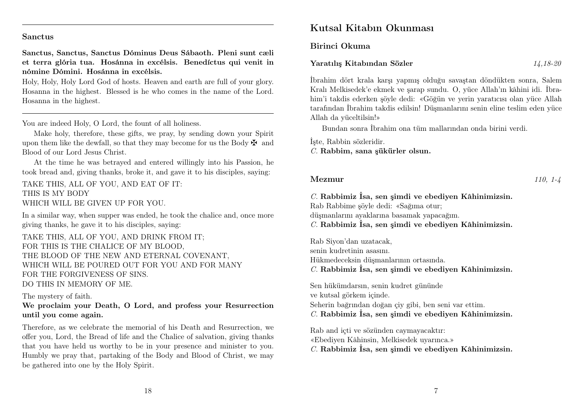#### Sanctus

Sanctus, Sanctus, Sanctus Dóminus Deus Sábaoth. Pleni sunt cæli et terra glória tua. Hosánna in excélsis. Benedíctus qui venit in nómine Dómini. Hosánna in excélsis.

Holy, Holy, Holy Lord God of hosts. Heaven and earth are full of your glory. Hosanna in the highest. Blessed is he who comes in the name of the Lord. Hosanna in the highest.

You are indeed Holy, O Lord, the fount of all holiness.

Make holy, therefore, these gifts, we pray, by sending down your Spirit upon them like the dewfall, so that they may become for us the Body  $\mathbf{\ddot{F}}$  and Blood of our Lord Jesus Christ.

At the time he was betrayed and entered willingly into his Passion, he took bread and, giving thanks, broke it, and gave it to his disciples, saying:

TAKE THIS, ALL OF YOU, AND EAT OF IT: THIS IS MY BODY WHICH WILL BE GIVEN UP FOR YOU.

In a similar way, when supper was ended, he took the chalice and, once more giving thanks, he gave it to his disciples, saying:

TAKE THIS, ALL OF YOU, AND DRINK FROM IT; FOR THIS IS THE CHALICE OF MY BLOOD, THE BLOOD OF THE NEW AND ETERNAL COVENANT, WHICH WILL BE POURED OUT FOR YOU AND FOR MANY FOR THE FORGIVENESS OF SINS. DO THIS IN MEMORY OF ME.

The mystery of faith.

We proclaim your Death, O Lord, and profess your Resurrection until you come again.

Therefore, as we celebrate the memorial of his Death and Resurrection, we offer you, Lord, the Bread of life and the Chalice of salvation, giving thanks that you have held us worthy to be in your presence and minister to you. Humbly we pray that, partaking of the Body and Blood of Christ, we may be gathered into one by the Holy Spirit.

# Kutsal Kitabın Okunması

Birinci Okuma

#### Yaratılış Kitabından Sözler 14,18-20

İbrahim dört krala karşı yapmış olduğu savaştan döndükten sonra, Salem Kralı Melkisedek'e ekmek ve şarap sundu. O, yüce Allah'ın kâhini idi. İbrahim'i takdis ederken şöyle dedi: «Göğün ve yerin yaratıcısı olan yüce Allah tarafından İbrahim takdis edilsin! Düşmanlarını senin eline teslim eden yüce Allah da yüceltilsin!»

Bundan sonra İbrahim ona tüm mallarından onda birini verdi.

İşte, Rabbin sözleridir.

C. Rabbim, sana şükürler olsun.

#### Mezmur 110, 1-4

C. Rabbimiz İsa, sen şimdi ve ebediyen Kâhinimizsin. Rab Rabbime şöyle dedi: «Sağıma otur; düşmanlarını ayaklarına basamak yapacağım. C. Rabbimiz İsa, sen şimdi ve ebediyen Kâhinimizsin.

Rab Siyon'dan uzatacak, senin kudretinin asasını. Hükmedeceksin düşmanlarının ortasında. C. Rabbimiz İsa, sen şimdi ve ebediyen Kâhinimizsin.

Sen hükümdarsın, senin kudret gününde ve kutsal görkem içinde. Seherin bağrından doğan çiy gibi, ben seni var ettim. C. Rabbimiz İsa, sen şimdi ve ebediyen Kâhinimizsin.

Rab and içti ve sözünden caymayacaktır: «Ebediyen Kâhinsin, Melkisedek uyarınca.» C. Rabbimiz İsa, sen şimdi ve ebediyen Kâhinimizsin.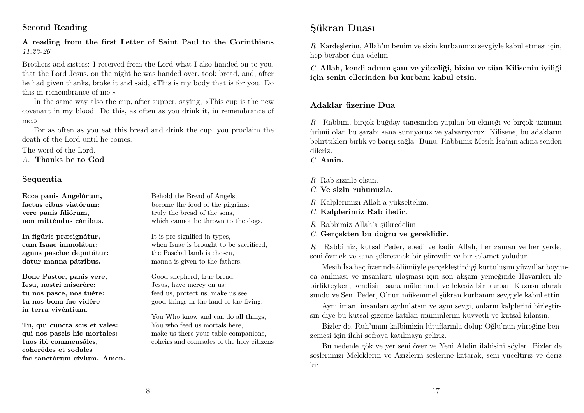## Second Reading

### A reading from the first Letter of Saint Paul to the Corinthians 11:23-26

Brothers and sisters: I received from the Lord what I also handed on to you, that the Lord Jesus, on the night he was handed over, took bread, and, after he had given thanks, broke it and said, «This is my body that is for you. Do this in remembrance of me.»

In the same way also the cup, after supper, saying, «This cup is the new covenant in my blood. Do this, as often as you drink it, in remembrance of me.»

For as often as you eat this bread and drink the cup, you proclaim the death of the Lord until he comes.

The word of the Lord.

A. Thanks be to God

#### Sequentia

Ecce panis Angelórum, factus cibus viatórum: vere panis fíliórum, non mitténdus cánibus.

In figúris præsignátur, cum Isaac immolátur: agnus paschæ deputátur: datur manna pátribus.

Bone Pastor, panis vere, Iesu, nostri miserére: tu nos pasce, nos tuére: tu nos bona fac vidére in terra vivéntium.

Tu, qui cuncta scis et vales: qui nos pascis hic mortales: tuos ibi commensáles, coherédes et sodales fac sanctórum cívium. Amen. Behold the Bread of Angels, become the food of the pilgrims: truly the bread of the sons, which cannot be thrown to the dogs.

It is pre-signified in types, when Isaac is brought to be sacrificed, the Paschal lamb is chosen, manna is given to the fathers.

Good shepherd, true bread, Jesus, have mercy on us: feed us, protect us, make us see good things in the land of the living.

You Who know and can do all things, You who feed us mortals here, make us there your table companions, coheirs and comrades of the holy citizens

# Şükran Duası

R. Kardeşlerim, Allah'ın benim ve sizin kurbanınızı sevgiyle kabul etmesi için, hep beraber dua edelim.

 $C$ . Allah, kendi adının şanı ve yüceliği, bizim ve tüm Kilisenin iyiliği için senin ellerinden bu kurbanı kabul etsin.

#### Adaklar üzerine Dua

R. Rabbim, birçok buğday tanesinden yapılan bu ekmeği ve birçok üzümün ürünü olan bu şarabı sana sunuyoruz ve yalvarıyoruz: Kilisene, bu adakların belirttikleri birlik ve barışı sağla. Bunu, Rabbimiz Mesih İsa'nın adına senden dileriz.

C. Amin.

R. Rab sizinle olsun.

 $C$ . Ve sizin ruhunuzla.

- R. Kalplerimizi Allah'a yükseltelim.
- C. Kalplerimiz Rab iledir.

R. Rabbimiz Allah'a şükredelim.

C. Gerçekten bu doğru ve gereklidir.

R. Rabbimiz, kutsal Peder, ebedi ve kadir Allah, her zaman ve her yerde, seni övmek ve sana şükretmek bir görevdir ve bir selamet yoludur.

Mesih İsa haç üzerinde ölümüyle gerçekleştirdiği kurtuluşun yüzyıllar boyunca anılması ve insanlara ulaşması için son akşam yemeğinde Havarileri ile birlikteyken, kendisini sana mükemmel ve lekesiz bir kurban Kuzusu olarak sundu ve Sen, Peder, O'nun mükemmel şükran kurbanını sevgiyle kabul ettin.

Aynı iman, insanları aydınlatsın ve aynı sevgi, onların kalplerini birleştirsin diye bu kutsal gizeme katılan müminlerini kuvvetli ve kutsal kılarsın.

Bizler de, Ruh'unun kalbimizin lütuflarınla dolup Oğlu'nun yüreğine benzemesi için ilahi sofraya katılmaya geliriz.

Bu nedenle gök ve yer seni över ve Yeni Ahdin ilahisini söyler. Bizler de seslerimizi Meleklerin ve Azizlerin seslerine katarak, seni yüceltiriz ve deriz ki: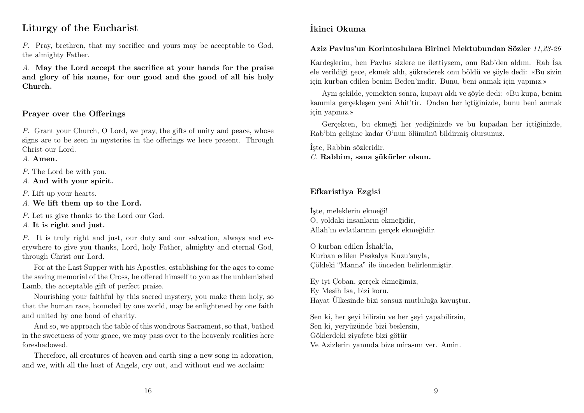# Liturgy of the Eucharist

P. Pray, brethren, that my sacrifice and yours may be acceptable to God, the almighty Father.

A. May the Lord accept the sacrifice at your hands for the praise and glory of his name, for our good and the good of all his holy Church.

## Prayer over the Offerings

P. Grant your Church, O Lord, we pray, the gifts of unity and peace, whose signs are to be seen in mysteries in the offerings we here present. Through Christ our Lord.

A. Amen.

P. The Lord be with you.

A. And with your spirit.

P. Lift up your hearts.

A. We lift them up to the Lord.

P. Let us give thanks to the Lord our God.

A. It is right and just.

P. It is truly right and just, our duty and our salvation, always and everywhere to give you thanks, Lord, holy Father, almighty and eternal God, through Christ our Lord.

For at the Last Supper with his Apostles, establishing for the ages to come the saving memorial of the Cross, he offered himself to you as the unblemished Lamb, the acceptable gift of perfect praise.

Nourishing your faithful by this sacred mystery, you make them holy, so that the human race, bounded by one world, may be enlightened by one faith and united by one bond of charity.

And so, we approach the table of this wondrous Sacrament, so that, bathed in the sweetness of your grace, we may pass over to the heavenly realities here foreshadowed.

Therefore, all creatures of heaven and earth sing a new song in adoration, and we, with all the host of Angels, cry out, and without end we acclaim:

# İkinci Okuma

#### Aziz Pavlus'un Korintoslulara Birinci Mektubundan Sözler 11,23-26

Kardeşlerim, ben Pavlus sizlere ne ilettiysem, onu Rab'den aldım. Rab İsa ele verildiği gece, ekmek aldı, şükrederek onu böldü ve şöyle dedi: «Bu sizin için kurban edilen benim Beden'imdir. Bunu, beni anmak için yapınız.»

Aynı şekilde, yemekten sonra, kupayı aldı ve şöyle dedi: «Bu kupa, benim kanımla gerçekleşen yeni Ahit'tir. Ondan her içtiğinizde, bunu beni anmak için yapınız.»

Gerçekten, bu ekmeği her yediğinizde ve bu kupadan her içtiğinizde, Rab'bin gelişine kadar O'nun ölümünü bildirmiş olursunuz.

İşte, Rabbin sözleridir. C. Rabbim, sana şükürler olsun.

## Efkaristiya Ezgisi

İşte, meleklerin ekmeği! O, yoldaki insanların ekmeğidir, Allah'ın evlatlarının gerçek ekmeğidir.

O kurban edilen İshak'la, Kurban edilen Paskalya Kuzu'suyla, Çöldeki "Manna" ile önceden belirlenmiştir.

Ey iyi Çoban, gerçek ekmeğimiz, Ey Mesih İsa, bizi koru. Hayat Ülkesinde bizi sonsuz mutluluğa kavuştur.

Sen ki, her şeyi bilirsin ve her şeyi yapabilirsin, Sen ki, yeryüzünde bizi beslersin, Göklerdeki ziyafete bizi götür Ve Azizlerin yanında bize mirasını ver. Amin.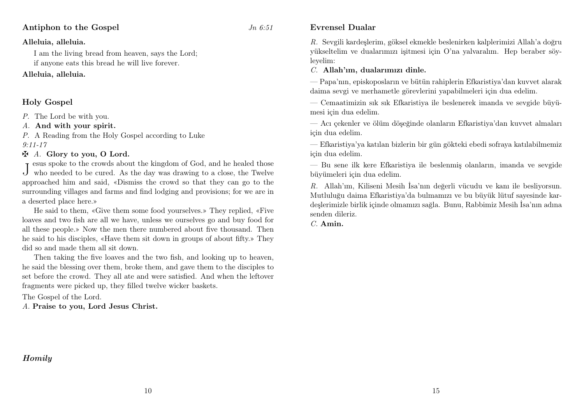### Alleluia, alleluia.

I am the living bread from heaven, says the Lord; if anyone eats this bread he will live forever.

## Alleluia, alleluia.

## Holy Gospel

P. The Lord be with you.

A. And with your spirit.

P. A Reading from the Holy Gospel according to Luke 9:11-17

### $\mathbf{\ddot{A}}$ . Glory to you, O Lord.

J who needed to be cured. As the day was drawing to a close, the Twelve esus spoke to the crowds about the kingdom of God, and he healed those approached him and said, «Dismiss the crowd so that they can go to the surrounding villages and farms and find lodging and provisions; for we are in a deserted place here.»

He said to them, «Give them some food yourselves.» They replied, «Five loaves and two fish are all we have, unless we ourselves go and buy food for all these people.» Now the men there numbered about five thousand. Then he said to his disciples, «Have them sit down in groups of about fifty.» They did so and made them all sit down.

Then taking the five loaves and the two fish, and looking up to heaven, he said the blessing over them, broke them, and gave them to the disciples to set before the crowd. They all ate and were satisfied. And when the leftover fragments were picked up, they filled twelve wicker baskets.

The Gospel of the Lord.

A. Praise to you, Lord Jesus Christ.

## Homily

### Evrensel Dualar

R. Sevgili kardeşlerim, göksel ekmekle beslenirken kalplerimizi Allah'a doğru yükseltelim ve dualarımızı işitmesi için O'na yalvaralım. Hep beraber söyleyelim:

#### C. Allah'ım, dualarımızı dinle.

— Papa'nın, episkoposların ve bütün rahiplerin Efkaristiya'dan kuvvet alarak daima sevgi ve merhametle görevlerini yapabilmeleri için dua edelim.

— Cemaatimizin sık sık Efkaristiya ile beslenerek imanda ve sevgide büyümesi için dua edelim.

— Acı çekenler ve ölüm döşeğinde olanların Efkaristiya'dan kuvvet almaları için dua edelim.

— Efkaristiya'ya katılan bizlerin bir gün gökteki ebedi sofraya katılabilmemiz için dua edelim.

— Bu sene ilk kere Efkaristiya ile beslenmiş olanların, imanda ve sevgide büyümeleri için dua edelim.

R. Allah'ım, Kiliseni Mesih İsa'nın değerli vücudu ve kanı ile besliyorsun. Mutluluğu daima Efkaristiya'da bulmamızı ve bu büyük lütuf sayesinde kardeşlerimizle birlik içinde olmamızı sağla. Bunu, Rabbimiz Mesih İsa'nın adına senden dileriz.

C. Amin.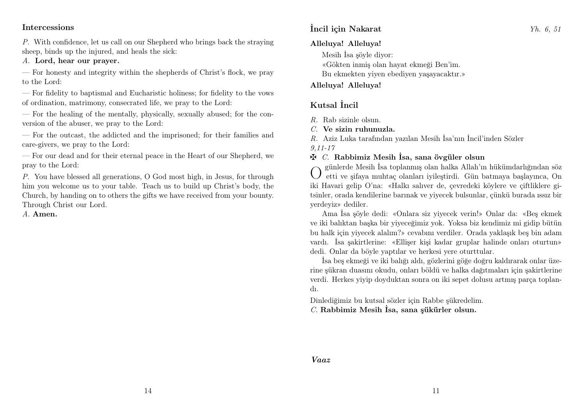### Intercessions

P. With confidence, let us call on our Shepherd who brings back the straying sheep, binds up the injured, and heals the sick:

A. Lord, hear our prayer.

— For honesty and integrity within the shepherds of Christ's flock, we pray to the Lord:

— For fidelity to baptismal and Eucharistic holiness; for fidelity to the vows of ordination, matrimony, consecrated life, we pray to the Lord:

— For the healing of the mentally, physically, sexually abused; for the conversion of the abuser, we pray to the Lord:

— For the outcast, the addicted and the imprisoned; for their families and care-givers, we pray to the Lord:

— For our dead and for their eternal peace in the Heart of our Shepherd, we pray to the Lord:

P. You have blessed all generations, O God most high, in Jesus, for through him you welcome us to your table. Teach us to build up Christ's body, the Church, by handing on to others the gifts we have received from your bounty. Through Christ our Lord.

A. Amen.

# İncil için Nakarat Yh. 6, 51

### Alleluya! Alleluya!

Mesih İsa şöyle diyor: «Gökten inmiş olan hayat ekmeği Ben'im. Bu ekmekten yiyen ebediyen yaşayacaktır.»

### Alleluya! Alleluya!

# Kutsal İncil

- $R$ . Rab sizinle olsun.
- C. Ve sizin ruhunuzla.

R. Aziz Luka tarafından yazılan Mesih İsa'nın İncil'inden Sözler

9,11-17

## $\mathbf{\ddot{F}}$  C. Rabbimiz Mesih İsa, sana övgüler olsun

O günlerde Mesih İsa toplanmış olan halka Allah'ın hükümdarlığından söz etti ve şifaya muhtaç olanları iyileştirdi. Gün batmaya başlayınca, On iki Havari gelip O'na: «Halkı salıver de, çevredeki köylere ve çiftliklere gitsinler, orada kendilerine barınak ve yiyecek bulsunlar, çünkü burada ıssız bir yerdeyiz» dediler.

Ama İsa şöyle dedi: «Onlara siz yiyecek verin!» Onlar da: «Beş ekmek ve iki balıktan başka bir yiyeceğimiz yok. Yoksa biz kendimiz mi gidip bütün bu halk için yiyecek alalım?» cevabını verdiler. Orada yaklaşık beş bin adam vardı. İsa şakirtlerine: «Ellişer kişi kadar gruplar halinde onları oturtun» dedi. Onlar da böyle yaptılar ve herkesi yere oturttular.

İsa beş ekmeği ve iki balığı aldı, gözlerini göğe doğru kaldırarak onlar üzerine şükran duasını okudu, onları böldü ve halka dağıtmaları için şakirtlerine verdi. Herkes yiyip doyduktan sonra on iki sepet dolusu artmış parça toplandı.

Dinlediğimiz bu kutsal sözler için Rabbe şükredelim. C. Rabbimiz Mesih İsa, sana şükürler olsun.